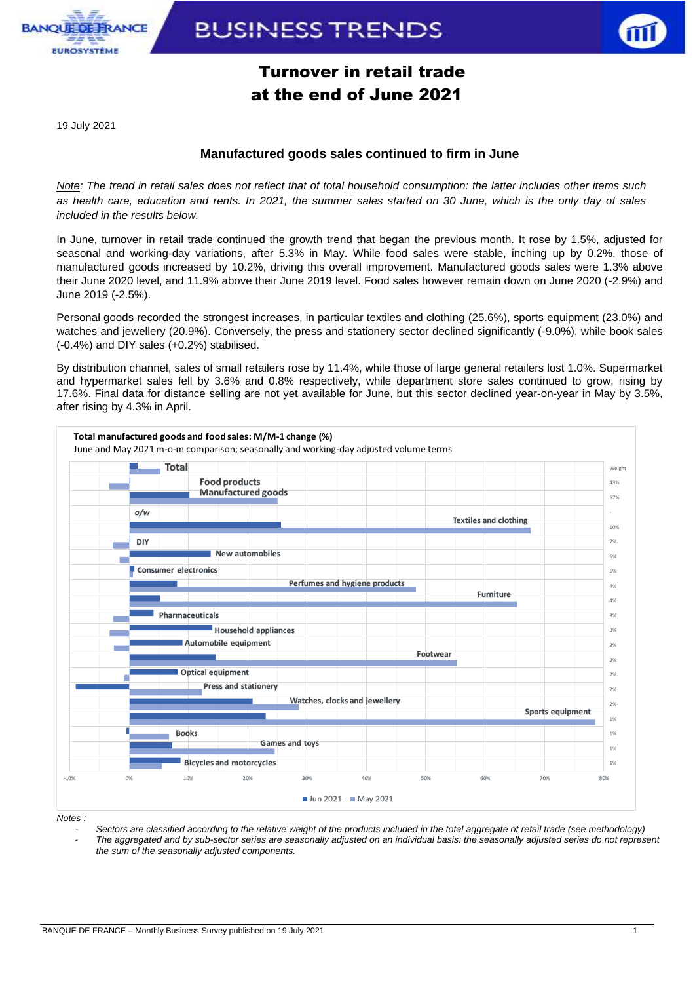

**BUSINESS TRENDS** 



## Turnover in retail trade at the end of June 2021

19 July 2021

### **Manufactured goods sales continued to firm in June**

*Note: The trend in retail sales does not reflect that of total household consumption: the latter includes other items such as health care, education and rents. In 2021, the summer sales started on 30 June, which is the only day of sales included in the results below.* 

In June, turnover in retail trade continued the growth trend that began the previous month. It rose by 1.5%, adjusted for seasonal and working-day variations, after 5.3% in May. While food sales were stable, inching up by 0.2%, those of manufactured goods increased by 10.2%, driving this overall improvement. Manufactured goods sales were 1.3% above their June 2020 level, and 11.9% above their June 2019 level. Food sales however remain down on June 2020 (-2.9%) and June 2019 (-2.5%).

Personal goods recorded the strongest increases, in particular textiles and clothing (25.6%), sports equipment (23.0%) and watches and jewellery (20.9%). Conversely, the press and stationery sector declined significantly (-9.0%), while book sales (-0.4%) and DIY sales (+0.2%) stabilised.

By distribution channel, sales of small retailers rose by 11.4%, while those of large general retailers lost 1.0%. Supermarket and hypermarket sales fell by 3.6% and 0.8% respectively, while department store sales continued to grow, rising by 17.6%. Final data for distance selling are not yet available for June, but this sector declined year-on-year in May by 3.5%, after rising by 4.3% in April.



*Notes :* 

*- Sectors are classified according to the relative weight of the products included in the total aggregate of retail trade (see methodology) - The aggregated and by sub-sector series are seasonally adjusted on an individual basis: the seasonally adjusted series do not represent the sum of the seasonally adjusted components.*